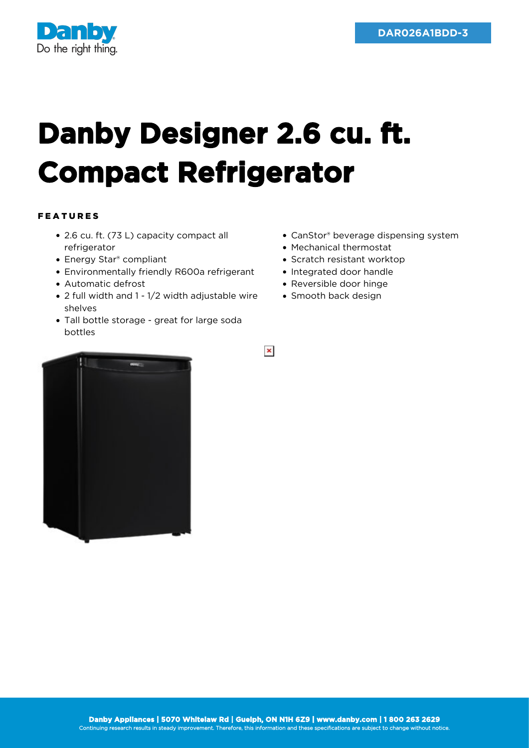

## **Danby Designer 2.6 cu. ft. Compact Refrigerator**

## FEATURES

- 2.6 cu. ft. (73 L) capacity compact all refrigerator
- Energy Star® compliant
- Environmentally friendly R600a refrigerant
- Automatic defrost
- 2 full width and 1 1/2 width adjustable wire shelves
- Tall bottle storage great for large soda bottles
- CanStor® beverage dispensing system
- Mechanical thermostat
- Scratch resistant worktop
- Integrated door handle
- Reversible door hinge
- Smooth back design

 $\pmb{\times}$